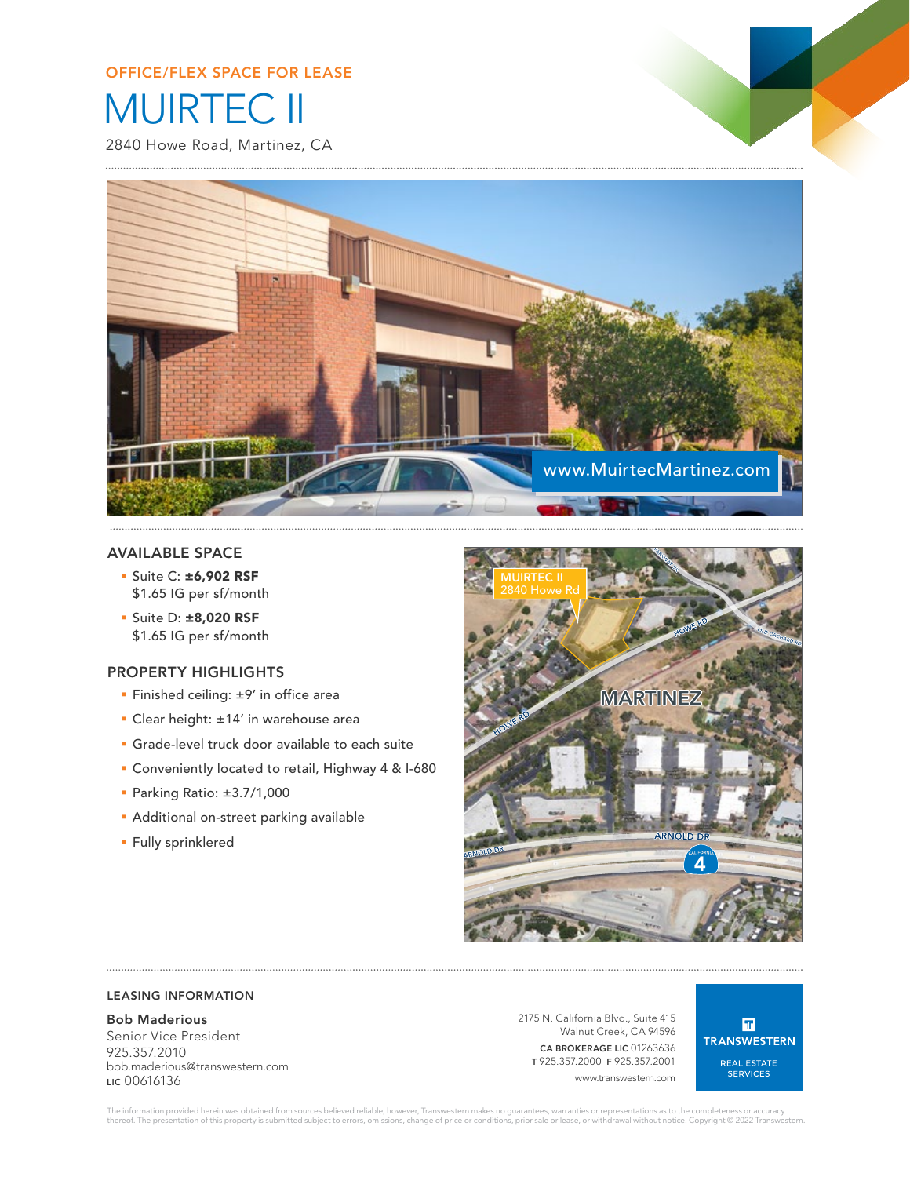# MUIRTEC II OFFICE/FLEX SPACE FOR LEASE

2840 Howe Road, Martinez, CA



# AVAILABLE SPACE

- § Suite C: ±6,902 RSF \$1.65 IG per sf/month
- § Suite D: ±8,020 RSF \$1.65 IG per sf/month

# PROPERTY HIGHLIGHTS

- Finished ceiling: ±9' in office area
- § Clear height: ±14' in warehouse area
- **Grade-level truck door available to each suite**
- § Conveniently located to retail, Highway 4 & I-680
- § Parking Ratio: ±3.7/1,000
- **Additional on-street parking available**
- § Fully sprinklered



# LEASING INFORMATION

# Bob Maderious

Senior Vice President 925.357.2010 bob.maderious@transwestern.com LIC 00616136

2175 N. California Blvd., Suite 415 Walnut Creek, CA 94596 CA BROKERAGE LIC 01263636 T 925.357.2000 F 925.357.2001 www.transwestern.com

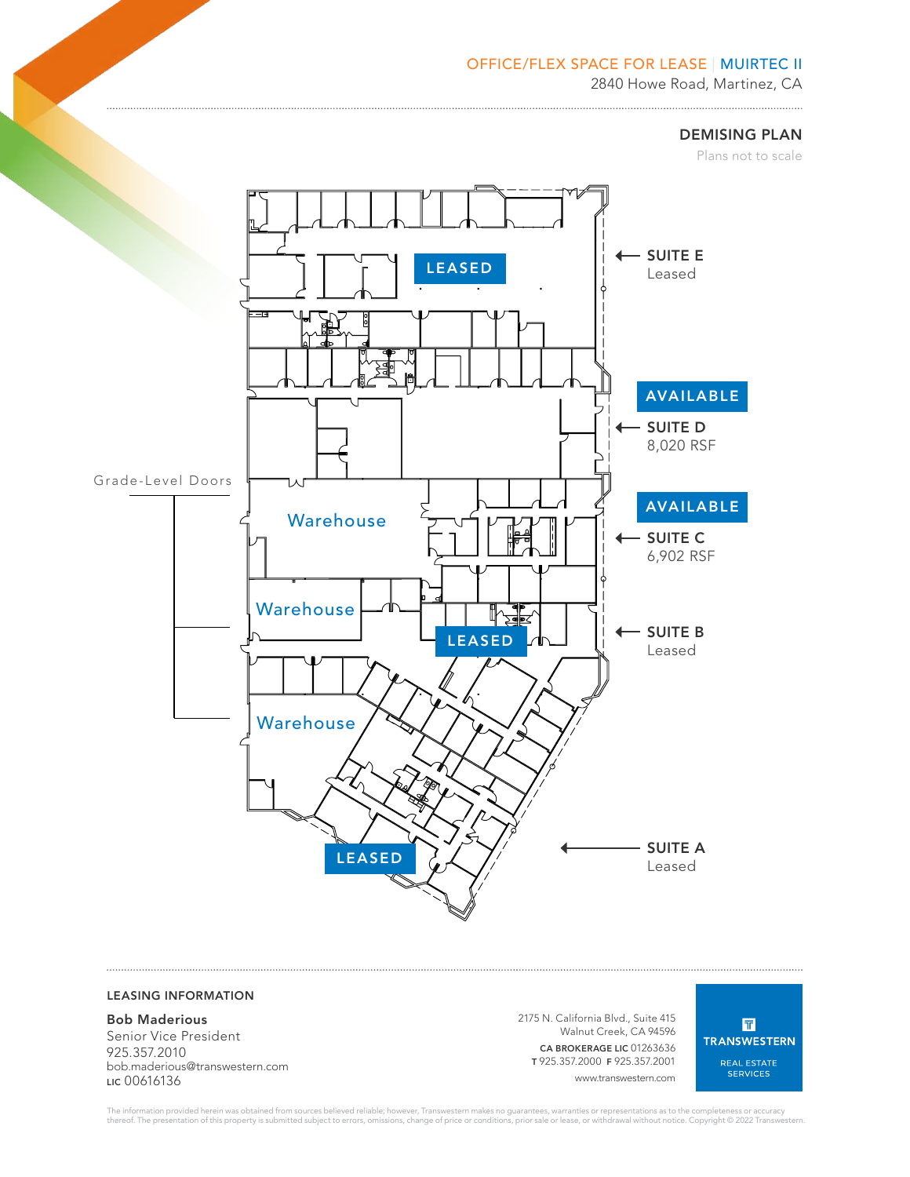# OFFICE/FLEX SPACE FOR LEASE | MUIRTEC II

2840 Howe Road, Martinez, CA 

DEMISING PLAN

Plans not to scale



# LEASING INFORMATION

#### Bob Maderious

Senior Vice President 925.357.2010 bob.maderious@transwestern.com LIC 00616136

2175 N. California Blvd., Suite 415 Walnut Creek, CA 94596 CA BROKERAGE LIC 01263636 T 925.357.2000 F 925.357.2001 www.transwestern.com

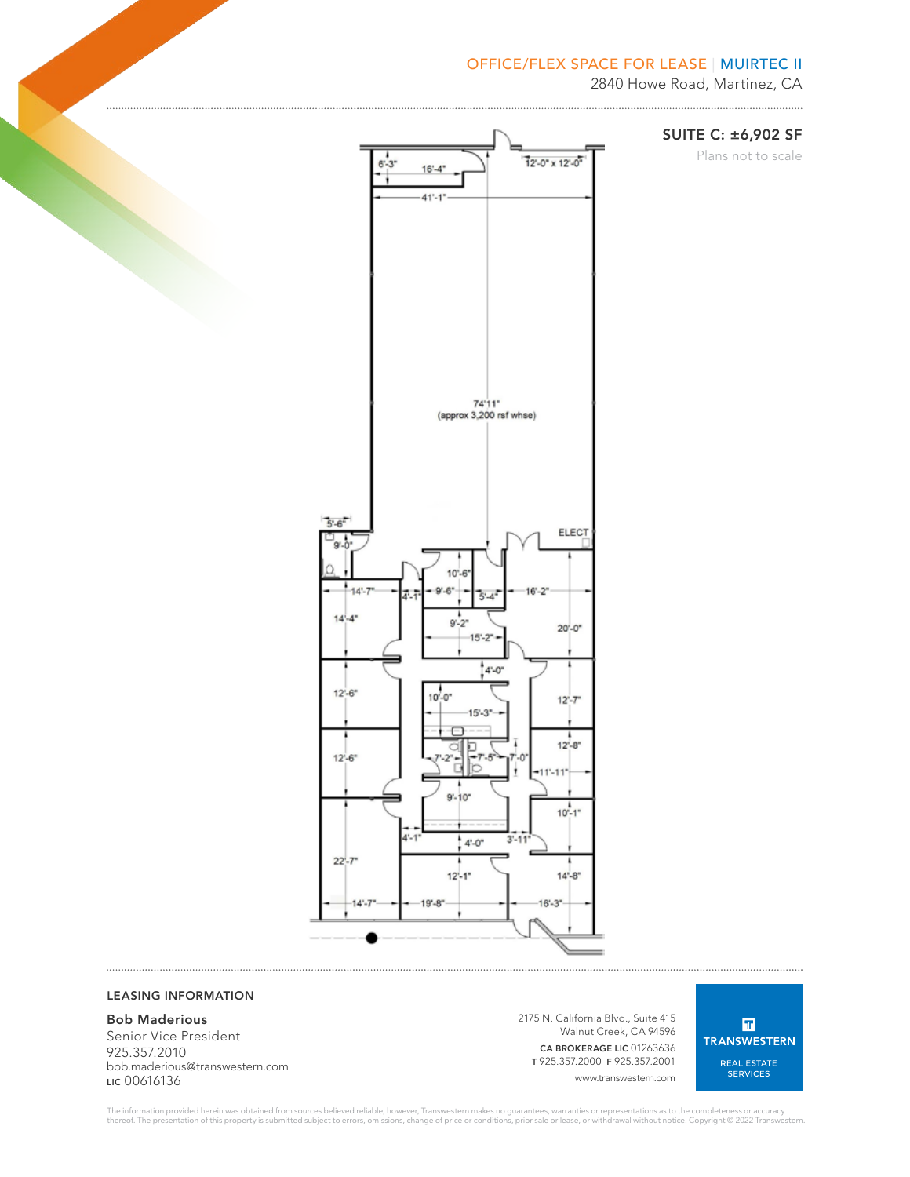# OFFICE/FLEX SPACE FOR LEASE | MUIRTEC II



#### LEASING INFORMATION

#### Bob Maderious

Senior Vice President 925.357.2010 bob.maderious@transwestern.com LIC 00616136

2175 N. California Blvd., Suite 415 Walnut Creek, CA 94596 CA BROKERAGE LIC 01263636 T 925.357.2000 F 925.357.2001 www.transwestern.com